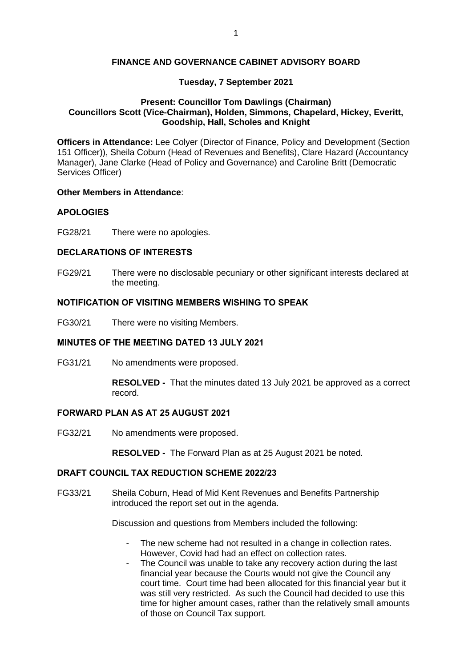#### **FINANCE AND GOVERNANCE CABINET ADVISORY BOARD**

## **Tuesday, 7 September 2021**

## **Present: Councillor Tom Dawlings (Chairman) Councillors Scott (Vice-Chairman), Holden, Simmons, Chapelard, Hickey, Everitt, Goodship, Hall, Scholes and Knight**

**Officers in Attendance:** Lee Colyer (Director of Finance, Policy and Development (Section 151 Officer)), Sheila Coburn (Head of Revenues and Benefits), Clare Hazard (Accountancy Manager), Jane Clarke (Head of Policy and Governance) and Caroline Britt (Democratic Services Officer)

#### **Other Members in Attendance**:

# **APOLOGIES**

FG28/21 There were no apologies.

## **DECLARATIONS OF INTERESTS**

FG29/21 There were no disclosable pecuniary or other significant interests declared at the meeting.

## **NOTIFICATION OF VISITING MEMBERS WISHING TO SPEAK**

FG30/21 There were no visiting Members.

# **MINUTES OF THE MEETING DATED 13 JULY 2021**

FG31/21 No amendments were proposed.

**RESOLVED -** That the minutes dated 13 July 2021 be approved as a correct record.

#### **FORWARD PLAN AS AT 25 AUGUST 2021**

FG32/21 No amendments were proposed.

**RESOLVED -** The Forward Plan as at 25 August 2021 be noted.

# **DRAFT COUNCIL TAX REDUCTION SCHEME 2022/23**

FG33/21 Sheila Coburn, Head of Mid Kent Revenues and Benefits Partnership introduced the report set out in the agenda.

Discussion and questions from Members included the following:

- The new scheme had not resulted in a change in collection rates. However, Covid had had an effect on collection rates.
- The Council was unable to take any recovery action during the last financial year because the Courts would not give the Council any court time. Court time had been allocated for this financial year but it was still very restricted. As such the Council had decided to use this time for higher amount cases, rather than the relatively small amounts of those on Council Tax support.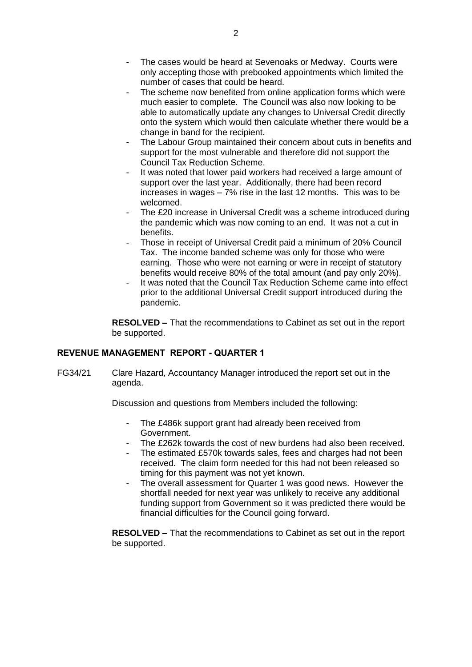- The cases would be heard at Sevenoaks or Medway. Courts were only accepting those with prebooked appointments which limited the number of cases that could be heard.
- The scheme now benefited from online application forms which were much easier to complete. The Council was also now looking to be able to automatically update any changes to Universal Credit directly onto the system which would then calculate whether there would be a change in band for the recipient.
- The Labour Group maintained their concern about cuts in benefits and support for the most vulnerable and therefore did not support the Council Tax Reduction Scheme.
- It was noted that lower paid workers had received a large amount of support over the last year. Additionally, there had been record increases in wages – 7% rise in the last 12 months. This was to be welcomed.
- The £20 increase in Universal Credit was a scheme introduced during the pandemic which was now coming to an end. It was not a cut in benefits.
- Those in receipt of Universal Credit paid a minimum of 20% Council Tax. The income banded scheme was only for those who were earning. Those who were not earning or were in receipt of statutory benefits would receive 80% of the total amount (and pay only 20%).
- It was noted that the Council Tax Reduction Scheme came into effect prior to the additional Universal Credit support introduced during the pandemic.

**RESOLVED –** That the recommendations to Cabinet as set out in the report be supported.

# **REVENUE MANAGEMENT REPORT - QUARTER 1**

FG34/21 Clare Hazard, Accountancy Manager introduced the report set out in the agenda.

Discussion and questions from Members included the following:

- The £486k support grant had already been received from Government.
- The £262k towards the cost of new burdens had also been received.
- The estimated £570k towards sales, fees and charges had not been received. The claim form needed for this had not been released so timing for this payment was not yet known.
- The overall assessment for Quarter 1 was good news. However the shortfall needed for next year was unlikely to receive any additional funding support from Government so it was predicted there would be financial difficulties for the Council going forward.

**RESOLVED –** That the recommendations to Cabinet as set out in the report be supported.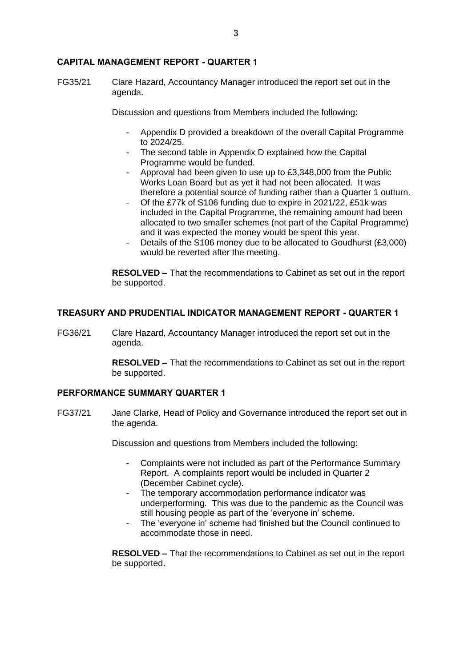#### **CAPITAL MANAGEMENT REPORT - QUARTER 1**

FG35/21 Clare Hazard, Accountancy Manager introduced the report set out in the agenda.

Discussion and questions from Members included the following:

- Appendix D provided a breakdown of the overall Capital Programme to 2024/25.
- The second table in Appendix D explained how the Capital Programme would be funded.
- Approval had been given to use up to £3,348,000 from the Public Works Loan Board but as yet it had not been allocated. It was therefore a potential source of funding rather than a Quarter 1 outturn.
- Of the £77k of S106 funding due to expire in 2021/22, £51k was included in the Capital Programme, the remaining amount had been allocated to two smaller schemes (not part of the Capital Programme) and it was expected the money would be spent this year.
- Details of the S106 money due to be allocated to Goudhurst (£3,000) would be reverted after the meeting.

**RESOLVED –** That the recommendations to Cabinet as set out in the report be supported.

## **TREASURY AND PRUDENTIAL INDICATOR MANAGEMENT REPORT - QUARTER 1**

FG36/21 Clare Hazard, Accountancy Manager introduced the report set out in the agenda.

> **RESOLVED –** That the recommendations to Cabinet as set out in the report be supported.

#### **PERFORMANCE SUMMARY QUARTER 1**

FG37/21 Jane Clarke, Head of Policy and Governance introduced the report set out in the agenda.

Discussion and questions from Members included the following:

- Complaints were not included as part of the Performance Summary Report. A complaints report would be included in Quarter 2 (December Cabinet cycle).
- The temporary accommodation performance indicator was underperforming. This was due to the pandemic as the Council was still housing people as part of the 'everyone in' scheme.
- The 'everyone in' scheme had finished but the Council continued to accommodate those in need.

**RESOLVED –** That the recommendations to Cabinet as set out in the report be supported.